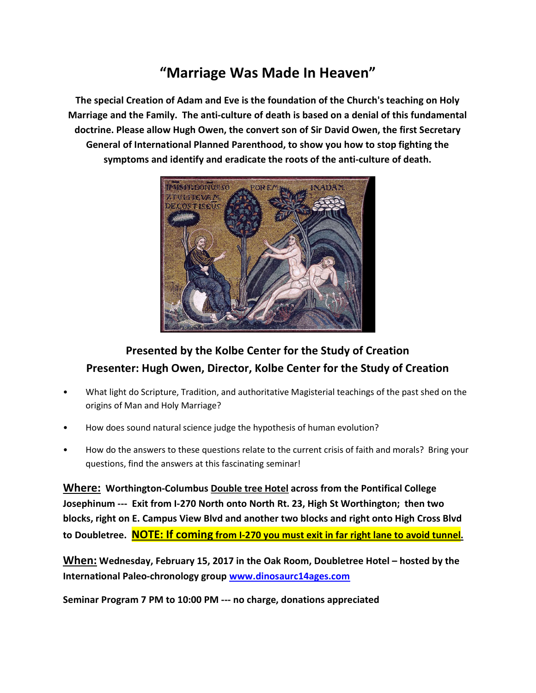## "Marriage Was Made In Heaven"

The special Creation of Adam and Eve is the foundation of the Church's teaching on Holy Marriage and the Family. The anti-culture of death is based on a denial of this fundamental doctrine. Please allow Hugh Owen, the convert son of Sir David Owen, the first Secretary General of International Planned Parenthood, to show you how to stop fighting the symptoms and identify and eradicate the roots of the anti-culture of death.



## Presented by the Kolbe Center for the Study of Creation Presenter: Hugh Owen, Director, Kolbe Center for the Study of Creation

- What light do Scripture, Tradition, and authoritative Magisterial teachings of the past shed on the origins of Man and Holy Marriage?
- How does sound natural science judge the hypothesis of human evolution?
- How do the answers to these questions relate to the current crisis of faith and morals? Bring your questions, find the answers at this fascinating seminar!

Where: Worthington-Columbus Double tree Hotel across from the Pontifical College Josephinum --- Exit from I-270 North onto North Rt. 23, High St Worthington; then two blocks, right on E. Campus View Blvd and another two blocks and right onto High Cross Blvd to Doubletree. NOTE: If coming from I-270 you must exit in far right lane to avoid tunnel.

When: Wednesday, February 15, 2017 in the Oak Room, Doubletree Hotel – hosted by the International Paleo-chronology group www.dinosaurc14ages.com

Seminar Program 7 PM to 10:00 PM --- no charge, donations appreciated